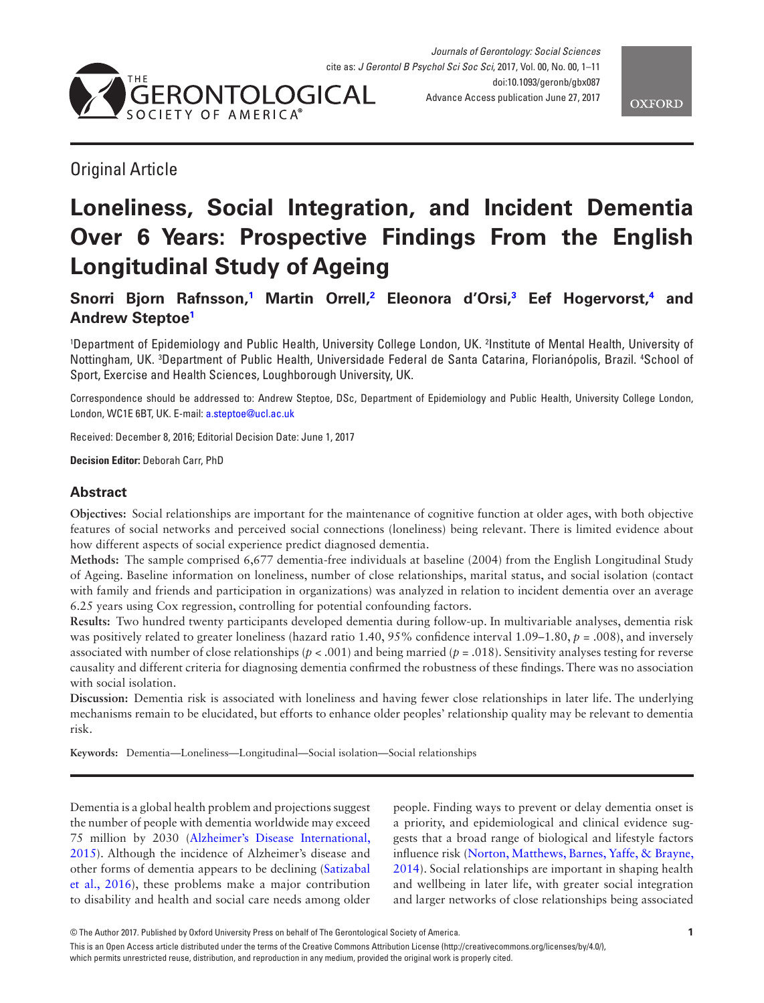



## Original Article

# **Loneliness, Social Integration, and Incident Dementia Over 6 Years: Prospective Findings From the English Longitudinal Study of Ageing**

 $\blacksquare$ Snorri Bjorn Rafnsson,[1](#page-0-0) Martin Orrell,<sup>[2](#page-0-1)</sup> Eleonora d'Orsi,[3](#page-0-2) Eef Hogervorst,[4](#page-0-3) and **Andrew Steptoe[1](#page-0-0)**

<span id="page-0-3"></span><span id="page-0-2"></span><span id="page-0-1"></span><span id="page-0-0"></span>'Department of Epidemiology and Public Health, University College London, UK. <sup>2</sup>Institute of Mental Health, University of Nottingham, UK. <sup>3</sup>Department of Public Health, Universidade Federal de Santa Catarina, Florianópolis, Brazil. <sup>4</sup>School of Sport, Exercise and Health Sciences, Loughborough University, UK.

Correspondence should be addressed to: Andrew Steptoe, DSc, Department of Epidemiology and Public Health, University College London, London, WC1E 6BT, UK. E-mail: [a.steptoe@ucl.ac.uk](mailto:a.steptoe@ucl.ac.uk?subject=)

Received: December 8, 2016; Editorial Decision Date: June 1, 2017

**Decision Editor:** Deborah Carr, PhD

## **Abstract**

**Objectives:** Social relationships are important for the maintenance of cognitive function at older ages, with both objective features of social networks and perceived social connections (loneliness) being relevant. There is limited evidence about how different aspects of social experience predict diagnosed dementia.

**Methods:** The sample comprised 6,677 dementia-free individuals at baseline (2004) from the English Longitudinal Study of Ageing. Baseline information on loneliness, number of close relationships, marital status, and social isolation (contact with family and friends and participation in organizations) was analyzed in relation to incident dementia over an average 6.25 years using Cox regression, controlling for potential confounding factors.

**Results:** Two hundred twenty participants developed dementia during follow-up. In multivariable analyses, dementia risk was positively related to greater loneliness (hazard ratio 1.40, 95% confidence interval 1.09–1.80,  $p = .008$ ), and inversely associated with number of close relationships (*p* < .001) and being married (*p* = .018). Sensitivity analyses testing for reverse causality and different criteria for diagnosing dementia confirmed the robustness of these findings. There was no association with social isolation.

**Discussion:** Dementia risk is associated with loneliness and having fewer close relationships in later life. The underlying mechanisms remain to be elucidated, but efforts to enhance older peoples' relationship quality may be relevant to dementia risk.

**Keywords:** Dementia—Loneliness—Longitudinal—Social isolation—Social relationships

Dementia is a global health problem and projections suggest the number of people with dementia worldwide may exceed 75 million by 2030 ([Alzheimer's Disease International,](#page-8-0)  [2015](#page-8-0)). Although the incidence of Alzheimer's disease and other forms of dementia appears to be declining ([Satizabal](#page-10-0)  [et al., 2016](#page-10-0)), these problems make a major contribution to disability and health and social care needs among older

people. Finding ways to prevent or delay dementia onset is a priority, and epidemiological and clinical evidence suggests that a broad range of biological and lifestyle factors influence risk ([Norton, Matthews, Barnes, Yaffe, & Brayne,](#page-10-1)  [2014](#page-10-1)). Social relationships are important in shaping health and wellbeing in later life, with greater social integration and larger networks of close relationships being associated

This is an Open Access article distributed under the terms of the Creative Commons Attribution License (http://creativecommons.org/licenses/by/4.0/),

<sup>©</sup> The Author 2017. Published by Oxford University Press on behalf of The Gerontological Society of America. **1**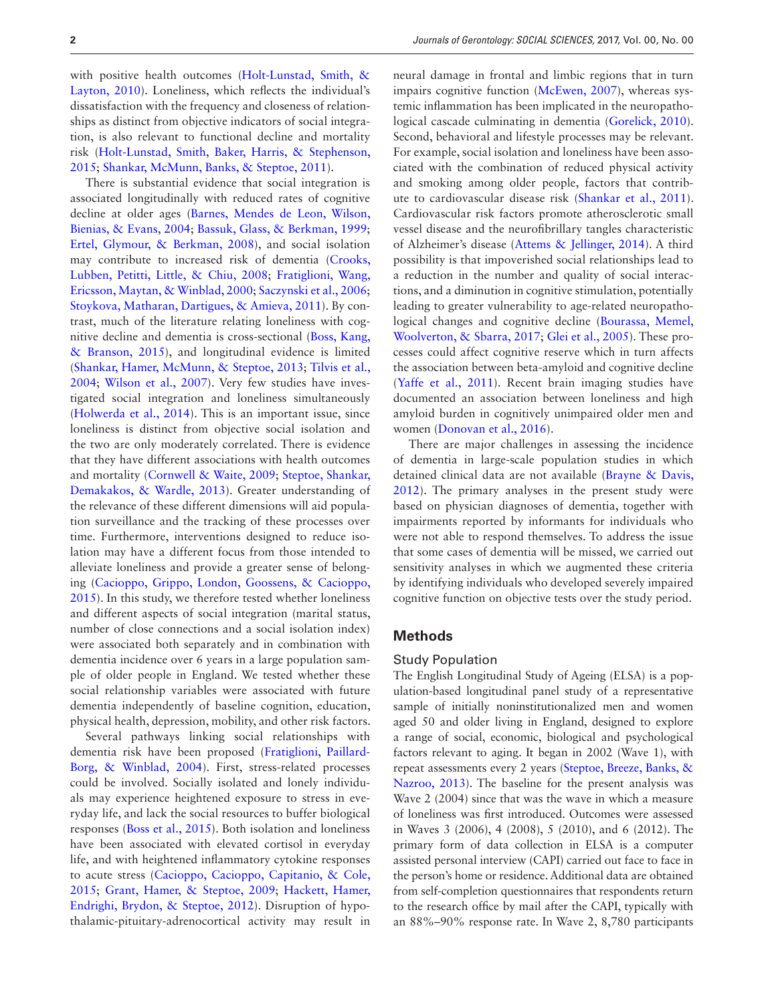with positive health outcomes ([Holt-Lunstad, Smith, &](#page-9-0)  [Layton, 2010\)](#page-9-0). Loneliness, which reflects the individual's dissatisfaction with the frequency and closeness of relationships as distinct from objective indicators of social integration, is also relevant to functional decline and mortality risk ([Holt-Lunstad, Smith, Baker, Harris, & Stephenson,](#page-9-1)  [2015](#page-9-1); [Shankar, McMunn, Banks, & Steptoe, 2011\)](#page-10-2).

There is substantial evidence that social integration is associated longitudinally with reduced rates of cognitive decline at older ages ([Barnes, Mendes de Leon, Wilson,](#page-8-1)  [Bienias, & Evans, 2004;](#page-8-1) [Bassuk, Glass, & Berkman, 1999](#page-9-2); [Ertel, Glymour, & Berkman, 2008](#page-9-3)), and social isolation may contribute to increased risk of dementia [\(Crooks,](#page-9-4)  [Lubben, Petitti, Little, & Chiu, 2008;](#page-9-4) [Fratiglioni, Wang,](#page-9-5)  [Ericsson, Maytan, & Winblad, 2000](#page-9-5); [Saczynski et al., 2006](#page-10-3); [Stoykova, Matharan, Dartigues, & Amieva, 2011\)](#page-10-4). By contrast, much of the literature relating loneliness with cognitive decline and dementia is cross-sectional [\(Boss, Kang,](#page-9-6)  [& Branson, 2015\)](#page-9-6), and longitudinal evidence is limited ([Shankar, Hamer, McMunn, & Steptoe, 2013;](#page-10-5) [Tilvis et al.,](#page-10-6)  [2004](#page-10-6); [Wilson et al., 2007\)](#page-10-7). Very few studies have investigated social integration and loneliness simultaneously ([Holwerda et al., 2014](#page-9-7)). This is an important issue, since loneliness is distinct from objective social isolation and the two are only moderately correlated. There is evidence that they have different associations with health outcomes and mortality [\(Cornwell & Waite, 2009;](#page-9-8) [Steptoe, Shankar,](#page-10-8)  [Demakakos, & Wardle, 2013\)](#page-10-8). Greater understanding of the relevance of these different dimensions will aid population surveillance and the tracking of these processes over time. Furthermore, interventions designed to reduce isolation may have a different focus from those intended to alleviate loneliness and provide a greater sense of belonging [\(Cacioppo, Grippo, London, Goossens, & Cacioppo,](#page-9-9)  [2015](#page-9-9)). In this study, we therefore tested whether loneliness and different aspects of social integration (marital status, number of close connections and a social isolation index) were associated both separately and in combination with dementia incidence over 6 years in a large population sample of older people in England. We tested whether these social relationship variables were associated with future dementia independently of baseline cognition, education, physical health, depression, mobility, and other risk factors.

Several pathways linking social relationships with dementia risk have been proposed [\(Fratiglioni, Paillard-](#page-9-10)[Borg, & Winblad, 2004\)](#page-9-10). First, stress-related processes could be involved. Socially isolated and lonely individuals may experience heightened exposure to stress in everyday life, and lack the social resources to buffer biological responses ([Boss et al., 2015\)](#page-9-6). Both isolation and loneliness have been associated with elevated cortisol in everyday life, and with heightened inflammatory cytokine responses to acute stress [\(Cacioppo, Cacioppo, Capitanio, & Cole,](#page-9-11)  [2015](#page-9-11); [Grant, Hamer, & Steptoe, 2009;](#page-9-12) [Hackett, Hamer,](#page-9-13)  [Endrighi, Brydon, & Steptoe, 2012](#page-9-13)). Disruption of hypothalamic-pituitary-adrenocortical activity may result in

neural damage in frontal and limbic regions that in turn impairs cognitive function [\(McEwen, 2007](#page-10-9)), whereas systemic inflammation has been implicated in the neuropathological cascade culminating in dementia ([Gorelick, 2010](#page-9-14)). Second, behavioral and lifestyle processes may be relevant. For example, social isolation and loneliness have been associated with the combination of reduced physical activity and smoking among older people, factors that contribute to cardiovascular disease risk ([Shankar et al., 2011](#page-10-2)). Cardiovascular risk factors promote atherosclerotic small vessel disease and the neurofibrillary tangles characteristic of Alzheimer's disease [\(Attems & Jellinger, 2014\)](#page-8-2). A third possibility is that impoverished social relationships lead to a reduction in the number and quality of social interactions, and a diminution in cognitive stimulation, potentially leading to greater vulnerability to age-related neuropathological changes and cognitive decline [\(Bourassa, Memel,](#page-9-15)  [Woolverton, & Sbarra, 2017](#page-9-15); [Glei et al., 2005](#page-9-16)). These processes could affect cognitive reserve which in turn affects the association between beta-amyloid and cognitive decline ([Yaffe et al., 2011\)](#page-10-10). Recent brain imaging studies have documented an association between loneliness and high amyloid burden in cognitively unimpaired older men and women ([Donovan et al., 2016](#page-9-17)).

There are major challenges in assessing the incidence of dementia in large-scale population studies in which detained clinical data are not available [\(Brayne & Davis,](#page-9-18)  [2012](#page-9-18)). The primary analyses in the present study were based on physician diagnoses of dementia, together with impairments reported by informants for individuals who were not able to respond themselves. To address the issue that some cases of dementia will be missed, we carried out sensitivity analyses in which we augmented these criteria by identifying individuals who developed severely impaired cognitive function on objective tests over the study period.

## **Methods**

#### Study Population

The English Longitudinal Study of Ageing (ELSA) is a population-based longitudinal panel study of a representative sample of initially noninstitutionalized men and women aged 50 and older living in England, designed to explore a range of social, economic, biological and psychological factors relevant to aging. It began in 2002 (Wave 1), with repeat assessments every 2 years [\(Steptoe, Breeze, Banks, &](#page-10-11)  [Nazroo, 2013\)](#page-10-11). The baseline for the present analysis was Wave 2 (2004) since that was the wave in which a measure of loneliness was first introduced. Outcomes were assessed in Waves 3 (2006), 4 (2008), 5 (2010), and 6 (2012). The primary form of data collection in ELSA is a computer assisted personal interview (CAPI) carried out face to face in the person's home or residence. Additional data are obtained from self-completion questionnaires that respondents return to the research office by mail after the CAPI, typically with an 88%–90% response rate. In Wave 2, 8,780 participants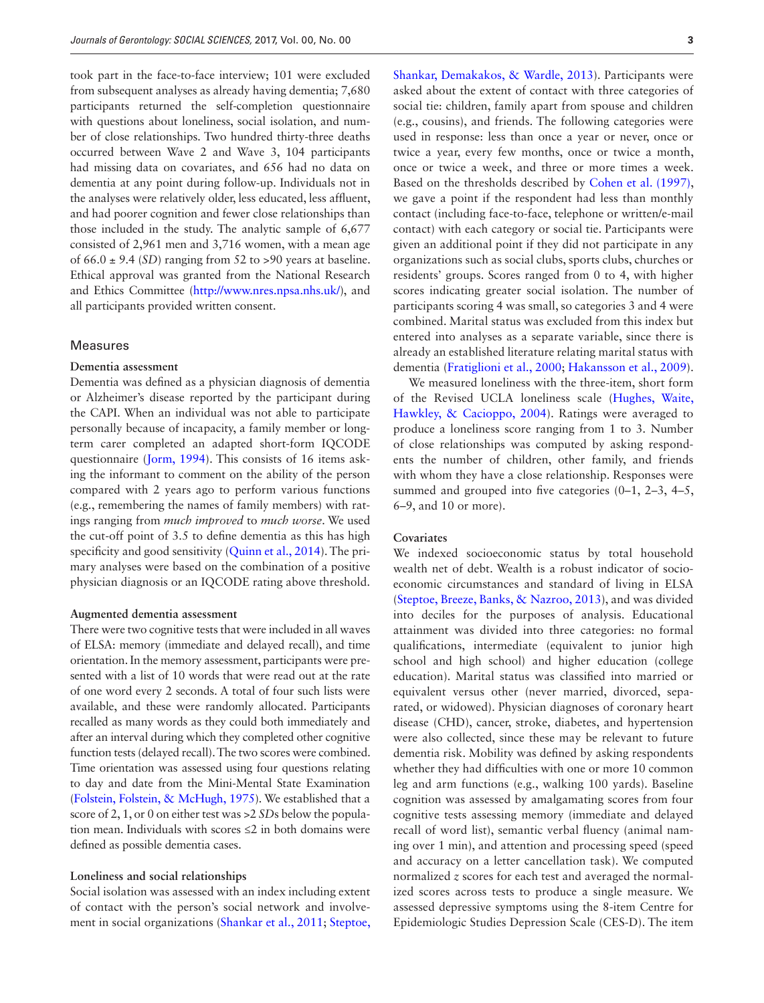took part in the face-to-face interview; 101 were excluded from subsequent analyses as already having dementia; 7,680 participants returned the self-completion questionnaire with questions about loneliness, social isolation, and number of close relationships. Two hundred thirty-three deaths occurred between Wave 2 and Wave 3, 104 participants had missing data on covariates, and 656 had no data on dementia at any point during follow-up. Individuals not in the analyses were relatively older, less educated, less affluent, and had poorer cognition and fewer close relationships than those included in the study. The analytic sample of 6,677 consisted of 2,961 men and 3,716 women, with a mean age of  $66.0 \pm 9.4$  (*SD*) ranging from 52 to >90 years at baseline. Ethical approval was granted from the National Research and Ethics Committee ([http://www.nres.npsa.nhs.uk/\)](http://www.nres.npsa.nhs.uk/), and all participants provided written consent.

#### Measures

#### **Dementia assessment**

Dementia was defined as a physician diagnosis of dementia or Alzheimer's disease reported by the participant during the CAPI. When an individual was not able to participate personally because of incapacity, a family member or longterm carer completed an adapted short-form IQCODE questionnaire [\(Jorm, 1994](#page-10-12)). This consists of 16 items asking the informant to comment on the ability of the person compared with 2 years ago to perform various functions (e.g., remembering the names of family members) with ratings ranging from *much improved* to *much worse*. We used the cut-off point of 3.5 to define dementia as this has high specificity and good sensitivity ([Quinn et al., 2014\)](#page-10-13). The primary analyses were based on the combination of a positive physician diagnosis or an IQCODE rating above threshold.

#### **Augmented dementia assessment**

There were two cognitive tests that were included in all waves of ELSA: memory (immediate and delayed recall), and time orientation. In the memory assessment, participants were presented with a list of 10 words that were read out at the rate of one word every 2 seconds. A total of four such lists were available, and these were randomly allocated. Participants recalled as many words as they could both immediately and after an interval during which they completed other cognitive function tests (delayed recall). The two scores were combined. Time orientation was assessed using four questions relating to day and date from the Mini-Mental State Examination ([Folstein, Folstein, & McHugh, 1975\)](#page-9-19). We established that a score of 2, 1, or 0 on either test was >2 *SD*s below the population mean. Individuals with scores ≤2 in both domains were defined as possible dementia cases.

#### **Loneliness and social relationships**

Social isolation was assessed with an index including extent of contact with the person's social network and involvement in social organizations ([Shankar et al., 2011](#page-10-2); [Steptoe,](#page-10-8) 

[Shankar, Demakakos, & Wardle, 2013\)](#page-10-8). Participants were asked about the extent of contact with three categories of social tie: children, family apart from spouse and children (e.g., cousins), and friends. The following categories were used in response: less than once a year or never, once or twice a year, every few months, once or twice a month, once or twice a week, and three or more times a week. Based on the thresholds described by [Cohen et al. \(1997\)](#page-9-20), we gave a point if the respondent had less than monthly contact (including face-to-face, telephone or written/e-mail contact) with each category or social tie. Participants were given an additional point if they did not participate in any organizations such as social clubs, sports clubs, churches or residents' groups. Scores ranged from 0 to 4, with higher scores indicating greater social isolation. The number of participants scoring 4 was small, so categories 3 and 4 were combined. Marital status was excluded from this index but entered into analyses as a separate variable, since there is already an established literature relating marital status with dementia ([Fratiglioni et al., 2000;](#page-9-5) [Hakansson et al., 2009](#page-9-21)).

We measured loneliness with the three-item, short form of the Revised UCLA loneliness scale ([Hughes, Waite,](#page-9-22)  [Hawkley, & Cacioppo, 2004](#page-9-22)). Ratings were averaged to produce a loneliness score ranging from 1 to 3. Number of close relationships was computed by asking respondents the number of children, other family, and friends with whom they have a close relationship. Responses were summed and grouped into five categories (0–1, 2–3, 4–5, 6–9, and 10 or more).

#### **Covariates**

We indexed socioeconomic status by total household wealth net of debt. Wealth is a robust indicator of socioeconomic circumstances and standard of living in ELSA ([Steptoe, Breeze, Banks, & Nazroo, 2013\)](#page-10-11), and was divided into deciles for the purposes of analysis. Educational attainment was divided into three categories: no formal qualifications, intermediate (equivalent to junior high school and high school) and higher education (college education). Marital status was classified into married or equivalent versus other (never married, divorced, separated, or widowed). Physician diagnoses of coronary heart disease (CHD), cancer, stroke, diabetes, and hypertension were also collected, since these may be relevant to future dementia risk. Mobility was defined by asking respondents whether they had difficulties with one or more 10 common leg and arm functions (e.g., walking 100 yards). Baseline cognition was assessed by amalgamating scores from four cognitive tests assessing memory (immediate and delayed recall of word list), semantic verbal fluency (animal naming over 1 min), and attention and processing speed (speed and accuracy on a letter cancellation task). We computed normalized *z* scores for each test and averaged the normalized scores across tests to produce a single measure. We assessed depressive symptoms using the 8-item Centre for Epidemiologic Studies Depression Scale (CES-D). The item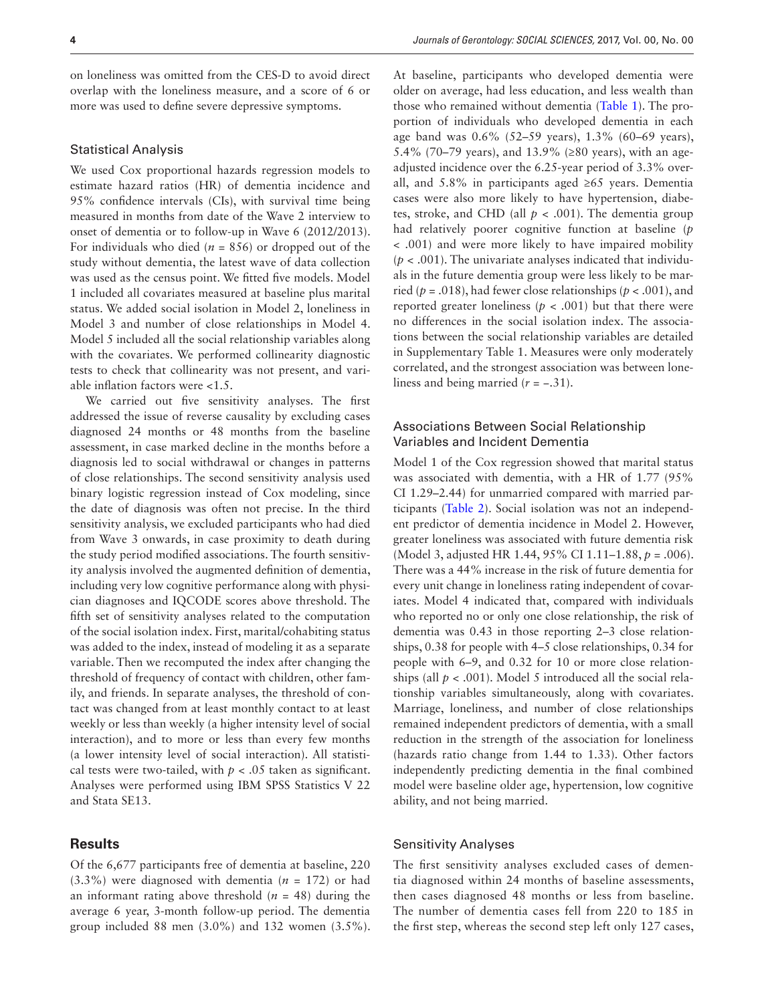on loneliness was omitted from the CES-D to avoid direct overlap with the loneliness measure, and a score of 6 or more was used to define severe depressive symptoms.

#### Statistical Analysis

We used Cox proportional hazards regression models to estimate hazard ratios (HR) of dementia incidence and 95% confidence intervals (CIs), with survival time being measured in months from date of the Wave 2 interview to onset of dementia or to follow-up in Wave 6 (2012/2013). For individuals who died  $(n = 856)$  or dropped out of the study without dementia, the latest wave of data collection was used as the census point. We fitted five models. Model 1 included all covariates measured at baseline plus marital status. We added social isolation in Model 2, loneliness in Model 3 and number of close relationships in Model 4. Model 5 included all the social relationship variables along with the covariates. We performed collinearity diagnostic tests to check that collinearity was not present, and variable inflation factors were <1.5.

We carried out five sensitivity analyses. The first addressed the issue of reverse causality by excluding cases diagnosed 24 months or 48 months from the baseline assessment, in case marked decline in the months before a diagnosis led to social withdrawal or changes in patterns of close relationships. The second sensitivity analysis used binary logistic regression instead of Cox modeling, since the date of diagnosis was often not precise. In the third sensitivity analysis, we excluded participants who had died from Wave 3 onwards, in case proximity to death during the study period modified associations. The fourth sensitivity analysis involved the augmented definition of dementia, including very low cognitive performance along with physician diagnoses and IQCODE scores above threshold. The fifth set of sensitivity analyses related to the computation of the social isolation index. First, marital/cohabiting status was added to the index, instead of modeling it as a separate variable. Then we recomputed the index after changing the threshold of frequency of contact with children, other family, and friends. In separate analyses, the threshold of contact was changed from at least monthly contact to at least weekly or less than weekly (a higher intensity level of social interaction), and to more or less than every few months (a lower intensity level of social interaction). All statistical tests were two-tailed, with  $p < .05$  taken as significant. Analyses were performed using IBM SPSS Statistics V 22 and Stata SE13.

## **Results**

Of the 6,677 participants free of dementia at baseline, 220  $(3.3\%)$  were diagnosed with dementia  $(n = 172)$  or had an informant rating above threshold  $(n = 48)$  during the average 6 year, 3-month follow-up period. The dementia group included 88 men (3.0%) and 132 women (3.5%).

At baseline, participants who developed dementia were older on average, had less education, and less wealth than those who remained without dementia ([Table 1](#page-4-0)). The proportion of individuals who developed dementia in each age band was 0.6% (52–59 years), 1.3% (60–69 years), 5.4% (70–79 years), and 13.9% (≥80 years), with an ageadjusted incidence over the 6.25-year period of 3.3% overall, and  $5.8\%$  in participants aged ≥65 years. Dementia cases were also more likely to have hypertension, diabetes, stroke, and CHD (all *p* < .001). The dementia group had relatively poorer cognitive function at baseline (*p* < .001) and were more likely to have impaired mobility  $(p < .001)$ . The univariate analyses indicated that individuals in the future dementia group were less likely to be married ( $p = .018$ ), had fewer close relationships ( $p < .001$ ), and reported greater loneliness ( $p < .001$ ) but that there were no differences in the social isolation index. The associations between the social relationship variables are detailed in Supplementary Table 1. Measures were only moderately correlated, and the strongest association was between loneliness and being married (*r* = −.31).

## Associations Between Social Relationship Variables and Incident Dementia

Model 1 of the Cox regression showed that marital status was associated with dementia, with a HR of 1.77 (95% CI 1.29–2.44) for unmarried compared with married participants [\(Table 2\)](#page-5-0). Social isolation was not an independent predictor of dementia incidence in Model 2. However, greater loneliness was associated with future dementia risk (Model 3, adjusted HR 1.44, 95% CI 1.11–1.88, *p* = .006). There was a 44% increase in the risk of future dementia for every unit change in loneliness rating independent of covariates. Model 4 indicated that, compared with individuals who reported no or only one close relationship, the risk of dementia was 0.43 in those reporting 2–3 close relationships, 0.38 for people with 4–5 close relationships, 0.34 for people with 6–9, and 0.32 for 10 or more close relationships (all *p* < .001). Model 5 introduced all the social relationship variables simultaneously, along with covariates. Marriage, loneliness, and number of close relationships remained independent predictors of dementia, with a small reduction in the strength of the association for loneliness (hazards ratio change from 1.44 to 1.33). Other factors independently predicting dementia in the final combined model were baseline older age, hypertension, low cognitive ability, and not being married.

### Sensitivity Analyses

The first sensitivity analyses excluded cases of dementia diagnosed within 24 months of baseline assessments, then cases diagnosed 48 months or less from baseline. The number of dementia cases fell from 220 to 185 in the first step, whereas the second step left only 127 cases,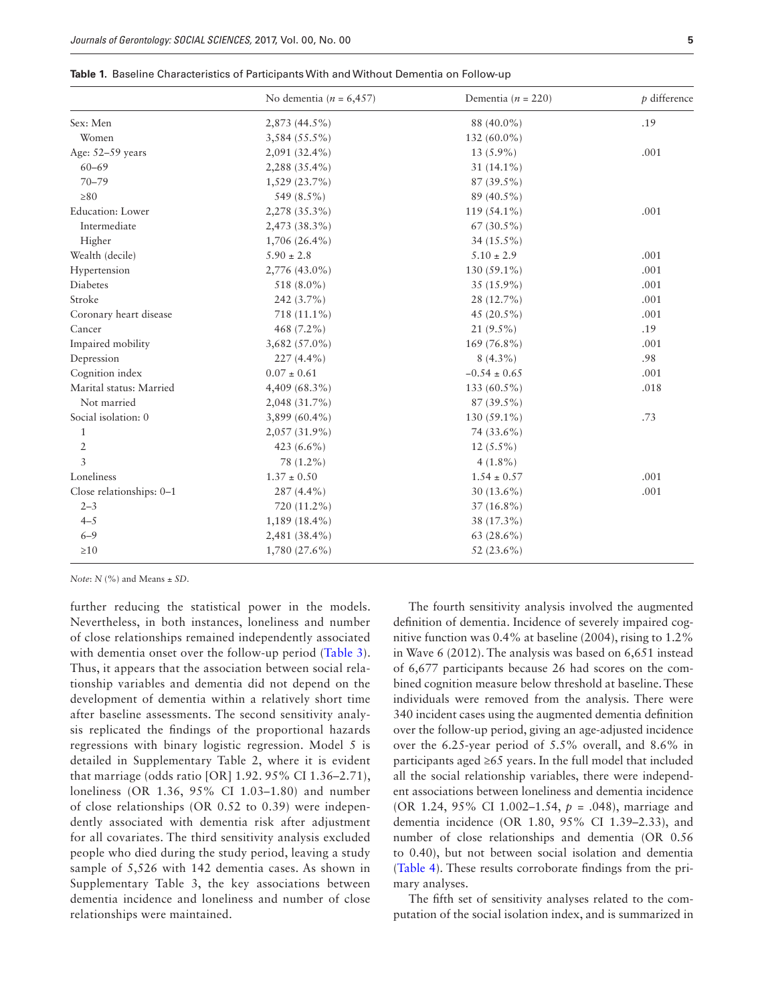<span id="page-4-0"></span>

|  |  | Table 1. Baseline Characteristics of Participants With and Without Dementia on Follow-up |  |  |  |  |  |
|--|--|------------------------------------------------------------------------------------------|--|--|--|--|--|
|--|--|------------------------------------------------------------------------------------------|--|--|--|--|--|

|                          | No dementia ( $n = 6,457$ ) | Dementia ( $n = 220$ ) | $p$ difference<br>.19 |  |
|--------------------------|-----------------------------|------------------------|-----------------------|--|
| Sex: Men                 | 2,873 (44.5%)               | 88 (40.0%)             |                       |  |
| Women                    | $3,584(55.5\%)$             | 132 $(60.0\%)$         |                       |  |
| Age: 52-59 years         | 2,091 (32.4%)               | $13(5.9\%)$            | .001                  |  |
| $60 - 69$                | 2,288 (35.4%)               | $31(14.1\%)$           |                       |  |
| $70 - 79$                | 1,529 (23.7%)               | $87(39.5\%)$           |                       |  |
| $\geq 80$                | 549 (8.5%)                  | 89 (40.5%)             |                       |  |
| <b>Education: Lower</b>  | 2,278 (35.3%)               | 119 $(54.1\%)$         | .001                  |  |
| Intermediate             | 2,473 (38.3%)               | $67(30.5\%)$           |                       |  |
| Higher                   | $1,706(26.4\%)$             | $34(15.5\%)$           |                       |  |
| Wealth (decile)          | $5.90 \pm 2.8$              | $5.10 \pm 2.9$         | .001                  |  |
| Hypertension             | 2,776 (43.0%)               | 130 (59.1%)            | .001                  |  |
| Diabetes                 | $518(8.0\%)$                | $35(15.9\%)$           | .001                  |  |
| Stroke                   | 242 (3.7%)                  | 28 (12.7%)             | .001                  |  |
| Coronary heart disease   | 718 (11.1%)                 | 45 $(20.5\%)$          | .001                  |  |
| Cancer                   | 468 (7.2%)                  | $21(9.5\%)$            | .19                   |  |
| Impaired mobility        | 3,682 (57.0%)               | 169 (76.8%)            | .001                  |  |
| Depression               | $227(4.4\%)$                | $8(4.3\%)$             | .98                   |  |
| Cognition index          | $0.07 \pm 0.61$             | $-0.54 \pm 0.65$       | .001                  |  |
| Marital status: Married  | 4,409 (68.3%)               | 133 (60.5%)            | .018                  |  |
| Not married              | 2,048 (31.7%)               | $87(39.5\%)$           |                       |  |
| Social isolation: 0      | $3,899(60.4\%)$             | 130 (59.1%)            | .73                   |  |
| 1                        | 2,057 (31.9%)               | 74 (33.6%)             |                       |  |
| $\overline{2}$           | 423 $(6.6\%)$               | $12(5.5\%)$            |                       |  |
| $\overline{\mathbf{3}}$  | 78 (1.2%)                   | $4(1.8\%)$             |                       |  |
| Loneliness               | $1.37 \pm 0.50$             | $1.54 \pm 0.57$        | .001                  |  |
| Close relationships: 0-1 | $287(4.4\%)$                | $30(13.6\%)$           | .001                  |  |
| $2 - 3$                  | 720 (11.2%)                 | $37(16.8\%)$           |                       |  |
| $4 - 5$                  | $1,189(18.4\%)$             | 38 (17.3%)             |                       |  |
| $6 - 9$                  | 2,481 (38.4%)               | 63 (28.6%)             |                       |  |
| $\geq 10$                | 1,780 (27.6%)               | 52 $(23.6\%)$          |                       |  |

*Note*: *N* (%) and Means ± *SD*.

further reducing the statistical power in the models. Nevertheless, in both instances, loneliness and number of close relationships remained independently associated with dementia onset over the follow-up period ([Table 3](#page-6-0)). Thus, it appears that the association between social relationship variables and dementia did not depend on the development of dementia within a relatively short time after baseline assessments. The second sensitivity analysis replicated the findings of the proportional hazards regressions with binary logistic regression. Model 5 is detailed in Supplementary Table 2, where it is evident that marriage (odds ratio [OR] 1.92. 95% CI 1.36–2.71), loneliness (OR 1.36, 95% CI 1.03–1.80) and number of close relationships (OR 0.52 to 0.39) were independently associated with dementia risk after adjustment for all covariates. The third sensitivity analysis excluded people who died during the study period, leaving a study sample of 5,526 with 142 dementia cases. As shown in Supplementary Table 3, the key associations between dementia incidence and loneliness and number of close relationships were maintained.

The fourth sensitivity analysis involved the augmented definition of dementia. Incidence of severely impaired cognitive function was 0.4% at baseline (2004), rising to 1.2% in Wave 6 (2012). The analysis was based on 6,651 instead of 6,677 participants because 26 had scores on the combined cognition measure below threshold at baseline. These individuals were removed from the analysis. There were 340 incident cases using the augmented dementia definition over the follow-up period, giving an age-adjusted incidence over the 6.25-year period of 5.5% overall, and 8.6% in participants aged ≥65 years. In the full model that included all the social relationship variables, there were independent associations between loneliness and dementia incidence (OR 1.24, 95% CI 1.002–1.54, *p* = .048), marriage and dementia incidence (OR 1.80, 95% CI 1.39–2.33), and number of close relationships and dementia (OR 0.56 to 0.40), but not between social isolation and dementia ([Table 4\)](#page-7-0). These results corroborate findings from the primary analyses.

The fifth set of sensitivity analyses related to the computation of the social isolation index, and is summarized in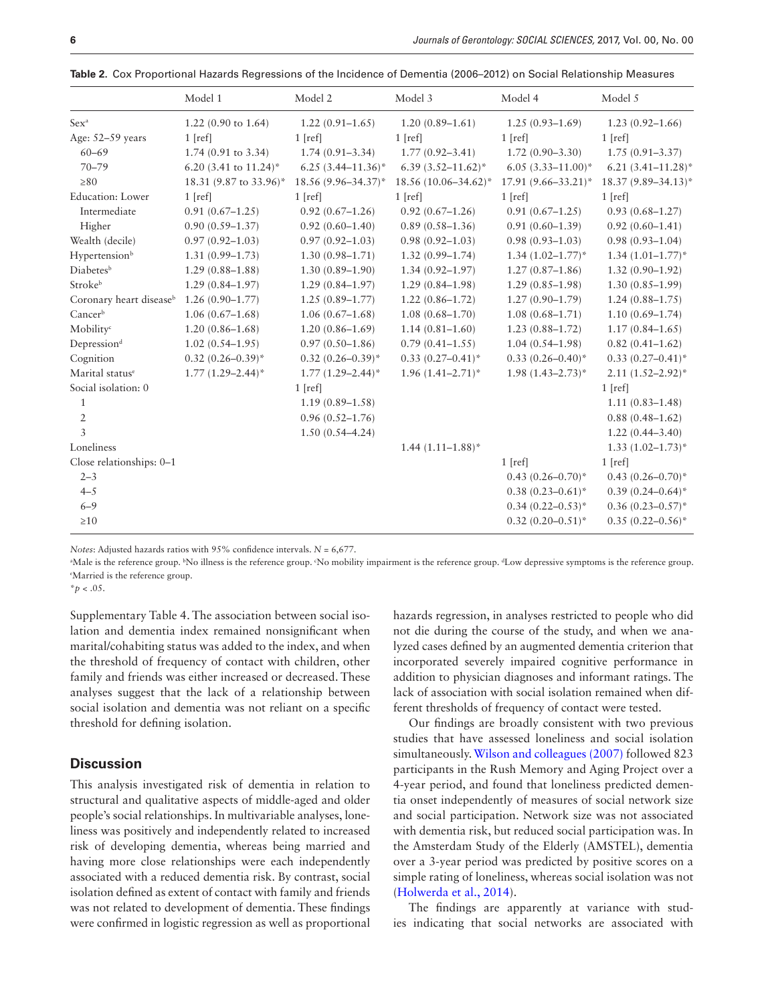|                                     | Model 1                        | Model 2                | Model 3                 | Model 4                | Model 5                 |
|-------------------------------------|--------------------------------|------------------------|-------------------------|------------------------|-------------------------|
| Sex <sup>a</sup>                    | 1.22 (0.90 to $1.64$ )         | $1.22(0.91 - 1.65)$    | $1.20(0.89 - 1.61)$     | $1.25(0.93 - 1.69)$    | $1.23(0.92 - 1.66)$     |
| Age: 52-59 years                    | $1$ [ref]                      | $1$ [ref]              | $1$ [ref]               | $1$ [ref]              | $1$ [ref]               |
| $60 - 69$                           | 1.74 $(0.91 \text{ to } 3.34)$ | $1.74(0.91 - 3.34)$    | $1.77(0.92 - 3.41)$     | $1.72(0.90 - 3.30)$    | $1.75(0.91 - 3.37)$     |
| $70 - 79$                           | 6.20 (3.41 to 11.24)*          | $6.25(3.44 - 11.36)^*$ | 6.39 $(3.52 - 11.62)^*$ | $6.05(3.33 - 11.00)^*$ | $6.21 (3.41 - 11.28)^*$ |
| $\geq 80$                           | 18.31 (9.87 to 33.96)*         | 18.56 (9.96-34.37)*    | 18.56 (10.06-34.62)*    | 17.91 (9.66-33.21)*    | 18.37 (9.89-34.13)*     |
| <b>Education: Lower</b>             | $1$ [ref]                      | $1$ [ref]              | $1$ [ref]               | $1$ [ref]              | $1$ [ref]               |
| Intermediate                        | $0.91(0.67 - 1.25)$            | $0.92(0.67 - 1.26)$    | $0.92(0.67 - 1.26)$     | $0.91(0.67 - 1.25)$    | $0.93(0.68 - 1.27)$     |
| Higher                              | $0.90(0.59 - 1.37)$            | $0.92(0.60 - 1.40)$    | $0.89(0.58 - 1.36)$     | $0.91(0.60 - 1.39)$    | $0.92(0.60 - 1.41)$     |
| Wealth (decile)                     | $0.97(0.92 - 1.03)$            | $0.97(0.92 - 1.03)$    | $0.98(0.92 - 1.03)$     | $0.98(0.93 - 1.03)$    | $0.98(0.93 - 1.04)$     |
| Hypertension <sup>b</sup>           | $1.31(0.99 - 1.73)$            | $1.30(0.98 - 1.71)$    | $1.32(0.99 - 1.74)$     | $1.34(1.02 - 1.77)*$   | $1.34(1.01 - 1.77)*$    |
| Diabetesb                           | $1.29(0.88 - 1.88)$            | $1.30(0.89 - 1.90)$    | $1.34(0.92 - 1.97)$     | $1.27(0.87 - 1.86)$    | $1.32(0.90 - 1.92)$     |
| Strokeb                             | $1.29(0.84 - 1.97)$            | $1.29(0.84 - 1.97)$    | $1.29(0.84 - 1.98)$     | $1.29(0.85-1.98)$      | $1.30(0.85-1.99)$       |
| Coronary heart disease <sup>b</sup> | $1.26(0.90-1.77)$              | $1.25(0.89 - 1.77)$    | $1.22(0.86 - 1.72)$     | $1.27(0.90 - 1.79)$    | $1.24(0.88 - 1.75)$     |
| Cancerb                             | $1.06(0.67 - 1.68)$            | $1.06(0.67 - 1.68)$    | $1.08(0.68 - 1.70)$     | $1.08(0.68 - 1.71)$    | $1.10(0.69 - 1.74)$     |
| Mobility <sup>c</sup>               | $1.20(0.86 - 1.68)$            | $1.20(0.86 - 1.69)$    | $1.14(0.81 - 1.60)$     | $1.23(0.88 - 1.72)$    | $1.17(0.84 - 1.65)$     |
| Depression <sup>d</sup>             | $1.02(0.54 - 1.95)$            | $0.97(0.50 - 1.86)$    | $0.79(0.41 - 1.55)$     | $1.04(0.54 - 1.98)$    | $0.82(0.41 - 1.62)$     |
| Cognition                           | $0.32(0.26 - 0.39)^*$          | $0.32(0.26 - 0.39)^*$  | $0.33(0.27-0.41)^*$     | $0.33(0.26 - 0.40)^*$  | $0.33(0.27-0.41)^*$     |
| Marital status <sup>e</sup>         | $1.77(1.29 - 2.44)^*$          | $1.77(1.29 - 2.44)^*$  | $1.96(1.41 - 2.71)^*$   | $1.98(1.43 - 2.73)^*$  | $2.11(1.52 - 2.92)^{*}$ |
| Social isolation: 0                 |                                | $1$ [ref]              |                         |                        | $1$ [ref]               |
| $\mathbf{1}$                        |                                | $1.19(0.89 - 1.58)$    |                         |                        | $1.11(0.83 - 1.48)$     |
| $\overline{2}$                      |                                | $0.96(0.52 - 1.76)$    |                         |                        | $0.88(0.48 - 1.62)$     |
| 3                                   |                                | $1.50(0.54 - 4.24)$    |                         |                        | $1.22(0.44 - 3.40)$     |
| Loneliness                          |                                |                        | $1.44(1.11-1.88)$ *     |                        | $1.33(1.02 - 1.73)^{*}$ |
| Close relationships: 0-1            |                                |                        |                         | $1$ [ref]              | $1$ [ref]               |
| $2 - 3$                             |                                |                        |                         | $0.43(0.26 - 0.70)^*$  | $0.43(0.26 - 0.70)^*$   |
| $4 - 5$                             |                                |                        |                         | $0.38(0.23 - 0.61)^*$  | $0.39(0.24 - 0.64)^*$   |
| $6 - 9$                             |                                |                        |                         | $0.34(0.22 - 0.53)^*$  | $0.36(0.23 - 0.57)^*$   |
| $\geq 10$                           |                                |                        |                         | $0.32(0.20 - 0.51)^*$  | $0.35(0.22 - 0.56)^*$   |

<span id="page-5-0"></span>**Table 2.** Cox Proportional Hazards Regressions of the Incidence of Dementia (2006–2012) on Social Relationship Measures

*Notes*: Adjusted hazards ratios with 95% confidence intervals. *N* = 6,677.

"Male is the reference group. "No illness is the reference group. "No mobility impairment is the reference group. "Low depressive symptoms is the reference group. e Married is the reference group.

 $* p < .05$ .

Supplementary Table 4. The association between social isolation and dementia index remained nonsignificant when marital/cohabiting status was added to the index, and when the threshold of frequency of contact with children, other family and friends was either increased or decreased. These analyses suggest that the lack of a relationship between social isolation and dementia was not reliant on a specific threshold for defining isolation.

## **Discussion**

This analysis investigated risk of dementia in relation to structural and qualitative aspects of middle-aged and older people's social relationships. In multivariable analyses, loneliness was positively and independently related to increased risk of developing dementia, whereas being married and having more close relationships were each independently associated with a reduced dementia risk. By contrast, social isolation defined as extent of contact with family and friends was not related to development of dementia. These findings were confirmed in logistic regression as well as proportional

hazards regression, in analyses restricted to people who did not die during the course of the study, and when we analyzed cases defined by an augmented dementia criterion that incorporated severely impaired cognitive performance in addition to physician diagnoses and informant ratings. The lack of association with social isolation remained when different thresholds of frequency of contact were tested.

Our findings are broadly consistent with two previous studies that have assessed loneliness and social isolation simultaneously. [Wilson and colleagues \(2007\)](#page-10-7) followed 823 participants in the Rush Memory and Aging Project over a 4-year period, and found that loneliness predicted dementia onset independently of measures of social network size and social participation. Network size was not associated with dementia risk, but reduced social participation was. In the Amsterdam Study of the Elderly (AMSTEL), dementia over a 3-year period was predicted by positive scores on a simple rating of loneliness, whereas social isolation was not ([Holwerda et al., 2014](#page-9-7)).

The findings are apparently at variance with studies indicating that social networks are associated with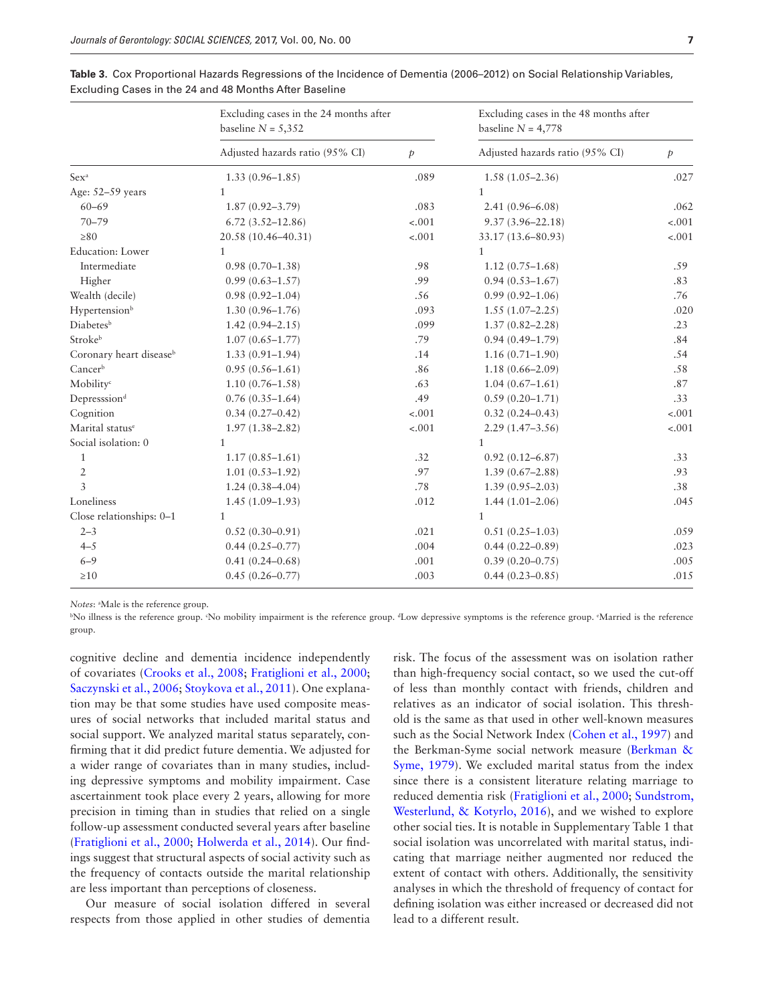|                                     | Excluding cases in the 24 months after<br>baseline $N = 5,352$ |           | Excluding cases in the 48 months after<br>baseline $N = 4,778$ |                  |  |
|-------------------------------------|----------------------------------------------------------------|-----------|----------------------------------------------------------------|------------------|--|
|                                     | Adjusted hazards ratio (95% CI)                                | $\dot{p}$ | Adjusted hazards ratio (95% CI)                                | $\boldsymbol{p}$ |  |
| Sex <sup>a</sup>                    | $1.33(0.96 - 1.85)$                                            | .089      | $1.58(1.05-2.36)$                                              | .027             |  |
| Age: 52-59 years                    | $\mathbf{1}$                                                   |           | $\mathbf{1}$                                                   |                  |  |
| $60 - 69$                           | $1.87(0.92 - 3.79)$                                            | .083      | $2.41(0.96 - 6.08)$                                            | .062             |  |
| $70 - 79$                           | $6.72(3.52 - 12.86)$                                           | $-.001$   | $9.37(3.96 - 22.18)$                                           | $-.001$          |  |
| $\geq 80$                           | 20.58 (10.46-40.31)                                            | $-.001$   | 33.17 (13.6-80.93)                                             | $-.001$          |  |
| Education: Lower                    | $\mathbf{1}$                                                   |           | $\mathbf{1}$                                                   |                  |  |
| Intermediate                        | $0.98(0.70 - 1.38)$                                            | .98       | $1.12(0.75 - 1.68)$                                            | .59              |  |
| Higher                              | $0.99(0.63 - 1.57)$                                            | .99       | $0.94(0.53 - 1.67)$                                            | .83              |  |
| Wealth (decile)                     | $0.98(0.92 - 1.04)$                                            | .56       | $0.99(0.92 - 1.06)$                                            | .76              |  |
| Hypertension <sup>b</sup>           | $1.30(0.96 - 1.76)$                                            | .093      | $1.55(1.07-2.25)$                                              | .020             |  |
| Diabetesb                           | $1.42(0.94 - 2.15)$                                            | .099      | $1.37(0.82 - 2.28)$                                            | .23              |  |
| Strokeb                             | $1.07(0.65 - 1.77)$                                            | .79       | $0.94(0.49 - 1.79)$                                            | .84              |  |
| Coronary heart disease <sup>b</sup> | $1.33(0.91 - 1.94)$                                            | .14       | $1.16(0.71 - 1.90)$                                            | .54              |  |
| Cancerb                             | $0.95(0.56 - 1.61)$                                            | .86       | $1.18(0.66 - 2.09)$                                            | .58              |  |
| Mobility <sup>c</sup>               | $1.10(0.76 - 1.58)$                                            | .63       | $1.04(0.67-1.61)$                                              | .87              |  |
| Depresssion <sup>d</sup>            | $0.76(0.35-1.64)$                                              | .49       | $0.59(0.20 - 1.71)$                                            | .33              |  |
| Cognition                           | $0.34(0.27-0.42)$                                              | $-.001$   | $0.32(0.24 - 0.43)$                                            | $-.001$          |  |
| Marital status <sup>e</sup>         | $1.97(1.38 - 2.82)$                                            | $-.001$   | $2.29(1.47-3.56)$                                              | $-.001$          |  |
| Social isolation: 0                 | 1                                                              |           | 1                                                              |                  |  |
| $\mathbf{1}$                        | $1.17(0.85 - 1.61)$                                            | .32       | $0.92(0.12 - 6.87)$                                            | .33              |  |
| $\overline{2}$                      | $1.01(0.53 - 1.92)$                                            | .97       | $1.39(0.67 - 2.88)$                                            | .93              |  |
| 3                                   | $1.24(0.38 - 4.04)$                                            | .78       | $1.39(0.95 - 2.03)$                                            | .38              |  |
| Loneliness                          | $1.45(1.09-1.93)$                                              | .012      | $1.44(1.01 - 2.06)$                                            | .045             |  |
| Close relationships: 0-1            | $\mathbf{1}$                                                   |           | $\mathbf{1}$                                                   |                  |  |
| $2 - 3$                             | $0.52(0.30-0.91)$                                              | .021      | $0.51(0.25 - 1.03)$                                            | .059             |  |
| $4 - 5$                             | $0.44(0.25 - 0.77)$                                            | .004      | $0.44(0.22 - 0.89)$                                            | .023             |  |
| $6 - 9$                             | $0.41(0.24 - 0.68)$                                            | .001      | $0.39(0.20 - 0.75)$                                            | .005             |  |
| $\geq 10$                           | $0.45(0.26 - 0.77)$                                            | .003      | $0.44(0.23 - 0.85)$                                            | .015             |  |

<span id="page-6-0"></span>**Table 3.** Cox Proportional Hazards Regressions of the Incidence of Dementia (2006–2012) on Social Relationship Variables, Excluding Cases in the 24 and 48 Months After Baseline

Notes: <sup>a</sup>Male is the reference group.

<sup>b</sup>No illness is the reference group. No mobility impairment is the reference group. <sup>d</sup>Low depressive symptoms is the reference group. Married is the reference group.

cognitive decline and dementia incidence independently of covariates [\(Crooks et al., 2008](#page-9-4); [Fratiglioni et al., 2000](#page-9-5); [Saczynski et al., 2006](#page-10-3); [Stoykova et al., 2011\)](#page-10-4). One explanation may be that some studies have used composite measures of social networks that included marital status and social support. We analyzed marital status separately, confirming that it did predict future dementia. We adjusted for a wider range of covariates than in many studies, including depressive symptoms and mobility impairment. Case ascertainment took place every 2 years, allowing for more precision in timing than in studies that relied on a single follow-up assessment conducted several years after baseline ([Fratiglioni et al., 2000](#page-9-5); [Holwerda et al., 2014](#page-9-7)). Our findings suggest that structural aspects of social activity such as the frequency of contacts outside the marital relationship are less important than perceptions of closeness.

Our measure of social isolation differed in several respects from those applied in other studies of dementia

risk. The focus of the assessment was on isolation rather than high-frequency social contact, so we used the cut-off of less than monthly contact with friends, children and relatives as an indicator of social isolation. This threshold is the same as that used in other well-known measures such as the Social Network Index [\(Cohen et al., 1997](#page-9-20)) and the Berkman-Syme social network measure ([Berkman &](#page-9-23)  [Syme, 1979](#page-9-23)). We excluded marital status from the index since there is a consistent literature relating marriage to reduced dementia risk ([Fratiglioni et al., 2000;](#page-9-5) [Sundstrom,](#page-10-14)  [Westerlund, & Kotyrlo, 2016](#page-10-14)), and we wished to explore other social ties. It is notable in Supplementary Table 1 that social isolation was uncorrelated with marital status, indicating that marriage neither augmented nor reduced the extent of contact with others. Additionally, the sensitivity analyses in which the threshold of frequency of contact for defining isolation was either increased or decreased did not lead to a different result.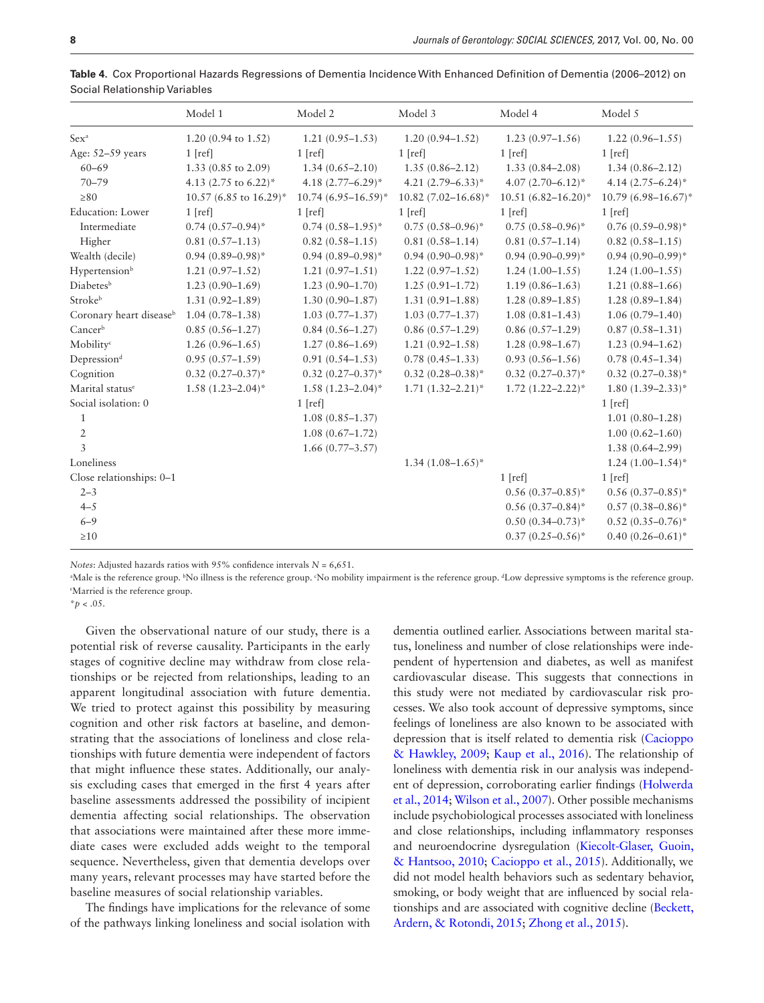|                                     | Model 1                 | Model 2                 | Model 3                | Model 4                 | Model 5                 |
|-------------------------------------|-------------------------|-------------------------|------------------------|-------------------------|-------------------------|
| Sex <sup>a</sup>                    | 1.20 (0.94 to 1.52)     | $1.21(0.95-1.53)$       | $1.20(0.94 - 1.52)$    | $1.23(0.97-1.56)$       | $1.22(0.96-1.55)$       |
| Age: 52-59 years                    | $1$ [ref]               | $1$ [ref]               | $1$ [ref]              | $1$ [ref]               | $1$ [ref]               |
| $60 - 69$                           | 1.33 (0.85 to 2.09)     | $1.34(0.65 - 2.10)$     | $1.35(0.86 - 2.12)$    | $1.33(0.84 - 2.08)$     | $1.34(0.86 - 2.12)$     |
| $70 - 79$                           | 4.13 (2.75 to $6.22$ )* | 4.18 $(2.77-6.29)^*$    | 4.21 $(2.79 - 6.33)^*$ | $4.07(2.70-6.12)^*$     | 4.14 $(2.75-6.24)^*$    |
| $\geq 80$                           | 10.57 (6.85 to 16.29)*  | $10.74(6.95 - 16.59)^*$ | $10.82$ (7.02-16.68)*  | $10.51(6.82 - 16.20)^*$ | $10.79(6.98 - 16.67)^*$ |
| Education: Lower                    | $1$ [ref]               | $1$ [ref]               | $1$ [ref]              | $1$ [ref]               | $1$ [ref]               |
| Intermediate                        | $0.74(0.57-0.94)$ *     | $0.74(0.58-1.95)^*$     | $0.75(0.58 - 0.96)^*$  | $0.75(0.58-0.96)^*$     | $0.76(0.59 - 0.98)^*$   |
| Higher                              | $0.81(0.57-1.13)$       | $0.82(0.58 - 1.15)$     | $0.81(0.58 - 1.14)$    | $0.81(0.57-1.14)$       | $0.82(0.58 - 1.15)$     |
| Wealth (decile)                     | $0.94(0.89 - 0.98)^*$   | $0.94(0.89 - 0.98)^*$   | $0.94(0.90 - 0.98)^*$  | $0.94(0.90-0.99)^*$     | $0.94(0.90-0.99)^*$     |
| Hypertension <sup>b</sup>           | $1.21(0.97-1.52)$       | $1.21(0.97 - 1.51)$     | $1.22(0.97-1.52)$      | $1.24(1.00-1.55)$       | $1.24(1.00-1.55)$       |
| Diabetesb                           | $1.23(0.90 - 1.69)$     | $1.23(0.90 - 1.70)$     | $1.25(0.91 - 1.72)$    | $1.19(0.86 - 1.63)$     | $1.21(0.88 - 1.66)$     |
| Strokeb                             | $1.31(0.92 - 1.89)$     | $1.30(0.90 - 1.87)$     | $1.31(0.91 - 1.88)$    | $1.28(0.89 - 1.85)$     | $1.28(0.89 - 1.84)$     |
| Coronary heart disease <sup>b</sup> | $1.04(0.78 - 1.38)$     | $1.03(0.77 - 1.37)$     | $1.03(0.77 - 1.37)$    | $1.08(0.81 - 1.43)$     | $1.06(0.79 - 1.40)$     |
| Cancerb                             | $0.85(0.56 - 1.27)$     | $0.84(0.56 - 1.27)$     | $0.86(0.57-1.29)$      | $0.86(0.57-1.29)$       | $0.87(0.58 - 1.31)$     |
| Mobility <sup>c</sup>               | $1.26(0.96 - 1.65)$     | $1.27(0.86 - 1.69)$     | $1.21(0.92 - 1.58)$    | $1.28(0.98 - 1.67)$     | $1.23(0.94 - 1.62)$     |
| Depressiond                         | $0.95(0.57-1.59)$       | $0.91(0.54 - 1.53)$     | $0.78(0.45 - 1.33)$    | $0.93(0.56 - 1.56)$     | $0.78(0.45 - 1.34)$     |
| Cognition                           | $0.32(0.27 - 0.37)^*$   | $0.32(0.27-0.37)^*$     | $0.32(0.28 - 0.38)^*$  | $0.32(0.27-0.37)^*$     | $0.32(0.27-0.38)$ *     |
| Marital status <sup>e</sup>         | $1.58(1.23 - 2.04)^*$   | $1.58(1.23 - 2.04)^*$   | $1.71(1.32 - 2.21)^*$  | $1.72(1.22 - 2.22)^*$   | $1.80(1.39 - 2.33)^*$   |
| Social isolation: 0                 |                         | $1$ [ref]               |                        |                         | $1$ [ref]               |
| 1                                   |                         | $1.08(0.85 - 1.37)$     |                        |                         | $1.01(0.80 - 1.28)$     |
| $\overline{2}$                      |                         | $1.08(0.67 - 1.72)$     |                        |                         | $1.00(0.62 - 1.60)$     |
| 3                                   |                         | $1.66(0.77 - 3.57)$     |                        |                         | $1.38(0.64 - 2.99)$     |
| Loneliness                          |                         |                         | $1.34(1.08 - 1.65)^*$  |                         | $1.24(1.00-1.54)$ *     |
| Close relationships: 0-1            |                         |                         |                        | $1$ [ref]               | $1$ [ref]               |
| $2 - 3$                             |                         |                         |                        | $0.56(0.37-0.85)^*$     | $0.56(0.37-0.85)^*$     |
| $4 - 5$                             |                         |                         |                        | $0.56(0.37-0.84)^*$     | $0.57(0.38 - 0.86)^*$   |
| $6 - 9$                             |                         |                         |                        | $0.50(0.34 - 0.73)^*$   | $0.52(0.35-0.76)^*$     |
| $\geq 10$                           |                         |                         |                        | $0.37(0.25 - 0.56)^*$   | $0.40(0.26 - 0.61)^*$   |
|                                     |                         |                         |                        |                         |                         |

<span id="page-7-0"></span>**Table 4.** Cox Proportional Hazards Regressions of Dementia Incidence With Enhanced Definition of Dementia (2006–2012) on Social Relationship Variables

*Notes*: Adjusted hazards ratios with 95% confidence intervals *N* = 6,651.

"Male is the reference group. "No illness is the reference group. "No mobility impairment is the reference group. "Low depressive symptoms is the reference group. e Married is the reference group.

 $*_{p}$  < .05.

Given the observational nature of our study, there is a potential risk of reverse causality. Participants in the early stages of cognitive decline may withdraw from close relationships or be rejected from relationships, leading to an apparent longitudinal association with future dementia. We tried to protect against this possibility by measuring cognition and other risk factors at baseline, and demonstrating that the associations of loneliness and close relationships with future dementia were independent of factors that might influence these states. Additionally, our analysis excluding cases that emerged in the first 4 years after baseline assessments addressed the possibility of incipient dementia affecting social relationships. The observation that associations were maintained after these more immediate cases were excluded adds weight to the temporal sequence. Nevertheless, given that dementia develops over many years, relevant processes may have started before the baseline measures of social relationship variables.

The findings have implications for the relevance of some of the pathways linking loneliness and social isolation with

dementia outlined earlier. Associations between marital status, loneliness and number of close relationships were independent of hypertension and diabetes, as well as manifest cardiovascular disease. This suggests that connections in this study were not mediated by cardiovascular risk processes. We also took account of depressive symptoms, since feelings of loneliness are also known to be associated with depression that is itself related to dementia risk ([Cacioppo](#page-9-24)  [& Hawkley, 2009](#page-9-24); [Kaup et al., 2016\)](#page-10-15). The relationship of loneliness with dementia risk in our analysis was independent of depression, corroborating earlier findings [\(Holwerda](#page-9-7)  [et al., 2014;](#page-9-7) [Wilson et al., 2007](#page-10-7)). Other possible mechanisms include psychobiological processes associated with loneliness and close relationships, including inflammatory responses and neuroendocrine dysregulation [\(Kiecolt-Glaser, Guoin,](#page-10-16)  [& Hantsoo, 2010](#page-10-16); [Cacioppo et al., 2015\)](#page-9-11). Additionally, we did not model health behaviors such as sedentary behavior, smoking, or body weight that are influenced by social relationships and are associated with cognitive decline ([Beckett,](#page-9-25)  [Ardern, & Rotondi, 2015](#page-9-25); [Zhong et al., 2015\)](#page-10-17).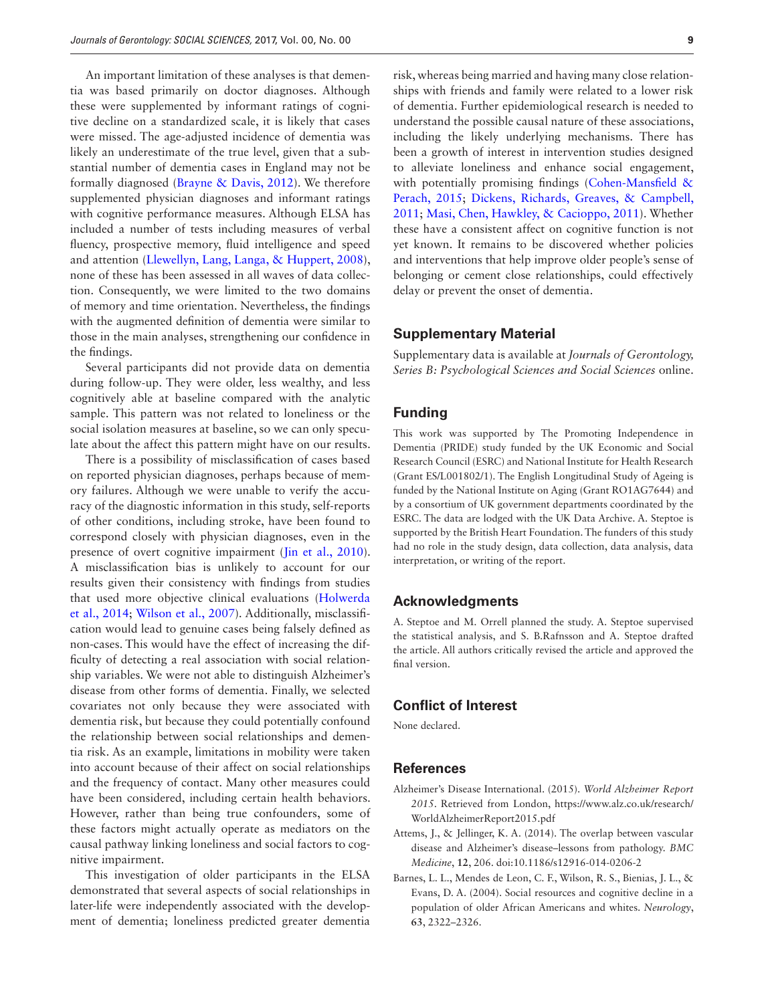An important limitation of these analyses is that dementia was based primarily on doctor diagnoses. Although these were supplemented by informant ratings of cognitive decline on a standardized scale, it is likely that cases were missed. The age-adjusted incidence of dementia was likely an underestimate of the true level, given that a substantial number of dementia cases in England may not be formally diagnosed ([Brayne & Davis, 2012\)](#page-9-18). We therefore supplemented physician diagnoses and informant ratings with cognitive performance measures. Although ELSA has included a number of tests including measures of verbal fluency, prospective memory, fluid intelligence and speed and attention [\(Llewellyn, Lang, Langa, & Huppert, 2008](#page-10-18)), none of these has been assessed in all waves of data collection. Consequently, we were limited to the two domains of memory and time orientation. Nevertheless, the findings with the augmented definition of dementia were similar to those in the main analyses, strengthening our confidence in the findings.

Several participants did not provide data on dementia during follow-up. They were older, less wealthy, and less cognitively able at baseline compared with the analytic sample. This pattern was not related to loneliness or the social isolation measures at baseline, so we can only speculate about the affect this pattern might have on our results.

There is a possibility of misclassification of cases based on reported physician diagnoses, perhaps because of memory failures. Although we were unable to verify the accuracy of the diagnostic information in this study, self-reports of other conditions, including stroke, have been found to correspond closely with physician diagnoses, even in the presence of overt cognitive impairment [\(Jin et al., 2010](#page-10-19)). A misclassification bias is unlikely to account for our results given their consistency with findings from studies that used more objective clinical evaluations ([Holwerda](#page-9-7)  [et al., 2014;](#page-9-7) [Wilson et al., 2007](#page-10-7)). Additionally, misclassification would lead to genuine cases being falsely defined as non-cases. This would have the effect of increasing the difficulty of detecting a real association with social relationship variables. We were not able to distinguish Alzheimer's disease from other forms of dementia. Finally, we selected covariates not only because they were associated with dementia risk, but because they could potentially confound the relationship between social relationships and dementia risk. As an example, limitations in mobility were taken into account because of their affect on social relationships and the frequency of contact. Many other measures could have been considered, including certain health behaviors. However, rather than being true confounders, some of these factors might actually operate as mediators on the causal pathway linking loneliness and social factors to cognitive impairment.

This investigation of older participants in the ELSA demonstrated that several aspects of social relationships in later-life were independently associated with the development of dementia; loneliness predicted greater dementia

risk, whereas being married and having many close relationships with friends and family were related to a lower risk of dementia. Further epidemiological research is needed to understand the possible causal nature of these associations, including the likely underlying mechanisms. There has been a growth of interest in intervention studies designed to alleviate loneliness and enhance social engagement, with potentially promising findings (Cohen-Mansfield & [Perach, 2015;](#page-9-26) [Dickens, Richards, Greaves, & Campbell,](#page-9-27)  [2011](#page-9-27); [Masi, Chen, Hawkley, & Cacioppo, 2011\)](#page-10-20). Whether these have a consistent affect on cognitive function is not yet known. It remains to be discovered whether policies and interventions that help improve older people's sense of belonging or cement close relationships, could effectively delay or prevent the onset of dementia.

## **Supplementary Material**

Supplementary data is available at *Journals of Gerontology, Series B: Psychological Sciences and Social Sciences* online.

## **Funding**

This work was supported by The Promoting Independence in Dementia (PRIDE) study funded by the UK Economic and Social Research Council (ESRC) and National Institute for Health Research (Grant ES/L001802/1). The English Longitudinal Study of Ageing is funded by the National Institute on Aging (Grant RO1AG7644) and by a consortium of UK government departments coordinated by the ESRC. The data are lodged with the UK Data Archive. A. Steptoe is supported by the British Heart Foundation. The funders of this study had no role in the study design, data collection, data analysis, data interpretation, or writing of the report.

#### **Acknowledgments**

A. Steptoe and M. Orrell planned the study. A. Steptoe supervised the statistical analysis, and S. B.Rafnsson and A. Steptoe drafted the article. All authors critically revised the article and approved the final version.

## **Conflict of Interest**

None declared.

#### **References**

- <span id="page-8-0"></span>Alzheimer's Disease International. (2015). *World Alzheimer Report 2015*. Retrieved from London, https://www.alz.co.uk/research/ WorldAlzheimerReport2015.pdf
- <span id="page-8-2"></span>Attems, J., & Jellinger, K. A. (2014). The overlap between vascular disease and Alzheimer's disease–lessons from pathology. *BMC Medicine*, **12**, 206. doi:10.1186/s12916-014-0206-2
- <span id="page-8-1"></span>Barnes, L. L., Mendes de Leon, C. F., Wilson, R. S., Bienias, J. L., & Evans, D. A. (2004). Social resources and cognitive decline in a population of older African Americans and whites. *Neurology*, **63**, 2322–2326.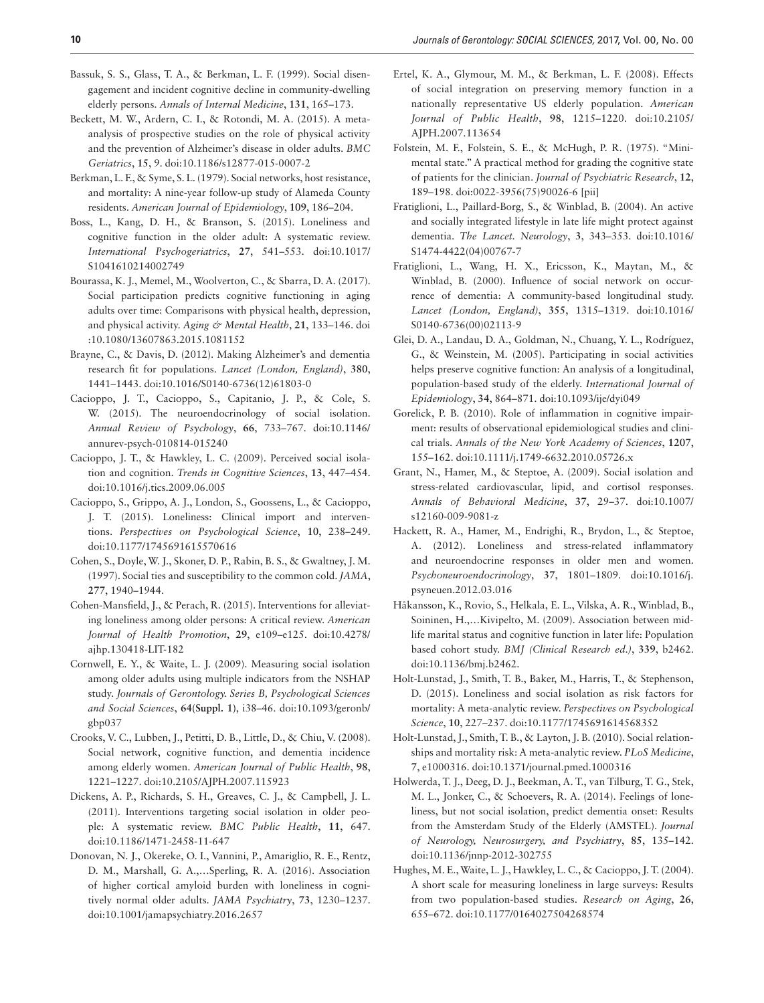- <span id="page-9-2"></span>Bassuk, S. S., Glass, T. A., & Berkman, L. F. (1999). Social disengagement and incident cognitive decline in community-dwelling elderly persons. *Annals of Internal Medicine*, **131**, 165–173.
- <span id="page-9-25"></span>Beckett, M. W., Ardern, C. I., & Rotondi, M. A. (2015). A metaanalysis of prospective studies on the role of physical activity and the prevention of Alzheimer's disease in older adults. *BMC Geriatrics*, **15**, 9. doi:10.1186/s12877-015-0007-2
- <span id="page-9-23"></span>Berkman, L. F., & Syme, S. L. (1979). Social networks, host resistance, and mortality: A nine-year follow-up study of Alameda County residents. *American Journal of Epidemiology*, **109**, 186–204.
- <span id="page-9-6"></span>Boss, L., Kang, D. H., & Branson, S. (2015). Loneliness and cognitive function in the older adult: A systematic review. *International Psychogeriatrics*, **27**, 541–553. doi:10.1017/ S1041610214002749
- <span id="page-9-15"></span>Bourassa, K. J., Memel, M., Woolverton, C., & Sbarra, D. A. (2017). Social participation predicts cognitive functioning in aging adults over time: Comparisons with physical health, depression, and physical activity. *Aging & Mental Health*, **21**, 133–146. doi :10.1080/13607863.2015.1081152
- <span id="page-9-18"></span>Brayne, C., & Davis, D. (2012). Making Alzheimer's and dementia research fit for populations. *Lancet (London, England)*, **380**, 1441–1443. doi:10.1016/S0140-6736(12)61803-0
- <span id="page-9-11"></span>Cacioppo, J. T., Cacioppo, S., Capitanio, J. P., & Cole, S. W. (2015). The neuroendocrinology of social isolation. *Annual Review of Psychology*, **66**, 733–767. doi:10.1146/ annurev-psych-010814-015240
- <span id="page-9-24"></span>Cacioppo, J. T., & Hawkley, L. C. (2009). Perceived social isolation and cognition. *Trends in Cognitive Sciences*, **13**, 447–454. doi:10.1016/j.tics.2009.06.005
- <span id="page-9-9"></span>Cacioppo, S., Grippo, A. J., London, S., Goossens, L., & Cacioppo, J. T. (2015). Loneliness: Clinical import and interventions. *Perspectives on Psychological Science*, **10**, 238–249. doi:10.1177/1745691615570616
- <span id="page-9-20"></span>Cohen, S., Doyle, W. J., Skoner, D. P., Rabin, B. S., & Gwaltney, J. M. (1997). Social ties and susceptibility to the common cold. *JAMA*, **277**, 1940–1944.
- <span id="page-9-26"></span>Cohen-Mansfield, J., & Perach, R. (2015). Interventions for alleviating loneliness among older persons: A critical review. *American Journal of Health Promotion*, **29**, e109–e125. doi:10.4278/ ajhp.130418-LIT-182
- <span id="page-9-8"></span>Cornwell, E. Y., & Waite, L. J. (2009). Measuring social isolation among older adults using multiple indicators from the NSHAP study. *Journals of Gerontology. Series B, Psychological Sciences and Social Sciences*, **64(Suppl. 1)**, i38–46. doi:10.1093/geronb/ gbp037
- <span id="page-9-4"></span>Crooks, V. C., Lubben, J., Petitti, D. B., Little, D., & Chiu, V. (2008). Social network, cognitive function, and dementia incidence among elderly women. *American Journal of Public Health*, **98**, 1221–1227. doi:10.2105/AJPH.2007.115923
- <span id="page-9-27"></span>Dickens, A. P., Richards, S. H., Greaves, C. J., & Campbell, J. L. (2011). Interventions targeting social isolation in older people: A systematic review. *BMC Public Health*, **11**, 647. doi:10.1186/1471-2458-11-647
- <span id="page-9-17"></span>Donovan, N. J., Okereke, O. I., Vannini, P., Amariglio, R. E., Rentz, D. M., Marshall, G. A.,…Sperling, R. A. (2016). Association of higher cortical amyloid burden with loneliness in cognitively normal older adults. *JAMA Psychiatry*, **73**, 1230–1237. doi:10.1001/jamapsychiatry.2016.2657
- <span id="page-9-3"></span>Ertel, K. A., Glymour, M. M., & Berkman, L. F. (2008). Effects of social integration on preserving memory function in a nationally representative US elderly population. *American Journal of Public Health*, **98**, 1215–1220. doi:10.2105/ AJPH.2007.113654
- <span id="page-9-19"></span>Folstein, M. F., Folstein, S. E., & McHugh, P. R. (1975). "Minimental state." A practical method for grading the cognitive state of patients for the clinician. *Journal of Psychiatric Research*, **12**, 189–198. doi:0022-3956(75)90026-6 [pii]
- <span id="page-9-10"></span>Fratiglioni, L., Paillard-Borg, S., & Winblad, B. (2004). An active and socially integrated lifestyle in late life might protect against dementia. *The Lancet. Neurology*, **3**, 343–353. doi:10.1016/ S1474-4422(04)00767-7
- <span id="page-9-5"></span>Fratiglioni, L., Wang, H. X., Ericsson, K., Maytan, M., & Winblad, B. (2000). Influence of social network on occurrence of dementia: A community-based longitudinal study. *Lancet (London, England)*, **355**, 1315–1319. doi:10.1016/ S0140-6736(00)02113-9
- <span id="page-9-16"></span>Glei, D. A., Landau, D. A., Goldman, N., Chuang, Y. L., Rodríguez, G., & Weinstein, M. (2005). Participating in social activities helps preserve cognitive function: An analysis of a longitudinal, population-based study of the elderly. *International Journal of Epidemiology*, **34**, 864–871. doi:10.1093/ije/dyi049
- <span id="page-9-14"></span>Gorelick, P. B. (2010). Role of inflammation in cognitive impairment: results of observational epidemiological studies and clinical trials. *Annals of the New York Academy of Sciences*, **1207**, 155–162. doi:10.1111/j.1749-6632.2010.05726.x
- <span id="page-9-12"></span>Grant, N., Hamer, M., & Steptoe, A. (2009). Social isolation and stress-related cardiovascular, lipid, and cortisol responses. *Annals of Behavioral Medicine*, **37**, 29–37. doi:10.1007/ s12160-009-9081-z
- <span id="page-9-13"></span>Hackett, R. A., Hamer, M., Endrighi, R., Brydon, L., & Steptoe, A. (2012). Loneliness and stress-related inflammatory and neuroendocrine responses in older men and women. *Psychoneuroendocrinology*, **37**, 1801–1809. doi:10.1016/j. psyneuen.2012.03.016
- <span id="page-9-21"></span>Håkansson, K., Rovio, S., Helkala, E. L., Vilska, A. R., Winblad, B., Soininen, H.,…Kivipelto, M. (2009). Association between midlife marital status and cognitive function in later life: Population based cohort study. *BMJ (Clinical Research ed.)*, **339**, b2462. doi:10.1136/bmj.b2462.
- <span id="page-9-1"></span>Holt-Lunstad, J., Smith, T. B., Baker, M., Harris, T., & Stephenson, D. (2015). Loneliness and social isolation as risk factors for mortality: A meta-analytic review. *Perspectives on Psychological Science*, **10**, 227–237. doi:10.1177/1745691614568352
- <span id="page-9-0"></span>Holt-Lunstad, J., Smith, T. B., & Layton, J. B. (2010). Social relationships and mortality risk: A meta-analytic review. *PLoS Medicine*, **7**, e1000316. doi:10.1371/journal.pmed.1000316
- <span id="page-9-7"></span>Holwerda, T. J., Deeg, D. J., Beekman, A. T., van Tilburg, T. G., Stek, M. L., Jonker, C., & Schoevers, R. A. (2014). Feelings of loneliness, but not social isolation, predict dementia onset: Results from the Amsterdam Study of the Elderly (AMSTEL). *Journal of Neurology, Neurosurgery, and Psychiatry*, **85**, 135–142. doi:10.1136/jnnp-2012-302755
- <span id="page-9-22"></span>Hughes, M. E., Waite, L. J., Hawkley, L. C., & Cacioppo, J. T. (2004). A short scale for measuring loneliness in large surveys: Results from two population-based studies. *Research on Aging*, **26**, 655–672. doi:10.1177/0164027504268574